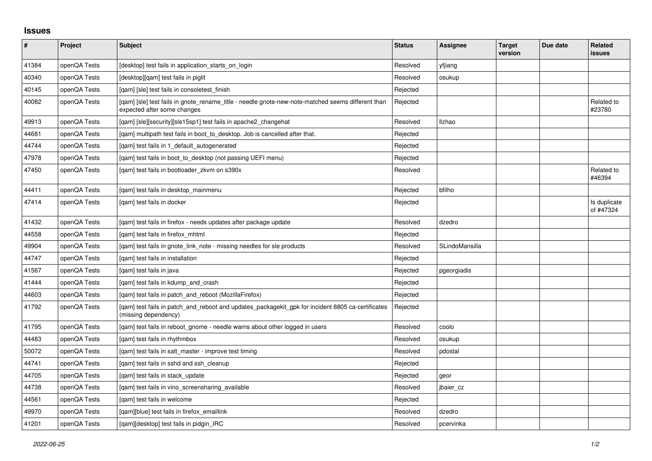## **Issues**

| $\sharp$ | Project      | Subject                                                                                                                          | <b>Status</b> | Assignee       | <b>Target</b><br>version | Due date | Related<br>issues         |
|----------|--------------|----------------------------------------------------------------------------------------------------------------------------------|---------------|----------------|--------------------------|----------|---------------------------|
| 41384    | openQA Tests | [desktop] test fails in application starts on login                                                                              | Resolved      | yfjiang        |                          |          |                           |
| 40340    | openQA Tests | [desktop][qam] test fails in piglit                                                                                              | Resolved      | osukup         |                          |          |                           |
| 40145    | openQA Tests | [gam] [sle] test fails in consoletest finish                                                                                     | Rejected      |                |                          |          |                           |
| 40082    | openQA Tests | [gam] [sle] test fails in gnote rename title - needle gnote-new-note-matched seems different than<br>expected after some changes | Rejected      |                |                          |          | Related to<br>#23780      |
| 49913    | openQA Tests | [qam] [sle][security][sle15sp1] test fails in apache2_changehat                                                                  | Resolved      | <b>Ilzhao</b>  |                          |          |                           |
| 44681    | openQA Tests | [gam] multipath test fails in boot to desktop. Job is cancelled after that.                                                      | Rejected      |                |                          |          |                           |
| 44744    | openQA Tests | [gam] test fails in 1 default autogenerated                                                                                      | Rejected      |                |                          |          |                           |
| 47978    | openQA Tests | [qam] test fails in boot_to_desktop (not passing UEFI menu)                                                                      | Rejected      |                |                          |          |                           |
| 47450    | openQA Tests | [gam] test fails in bootloader zkvm on s390x                                                                                     | Resolved      |                |                          |          | Related to<br>#46394      |
| 44411    | openQA Tests | [qam] test fails in desktop_mainmenu                                                                                             | Rejected      | bfilho         |                          |          |                           |
| 47414    | openQA Tests | [gam] test fails in docker                                                                                                       | Rejected      |                |                          |          | Is duplicate<br>of #47324 |
| 41432    | openQA Tests | [gam] test fails in firefox - needs updates after package update                                                                 | Resolved      | dzedro         |                          |          |                           |
| 44558    | openQA Tests | [qam] test fails in firefox_mhtml                                                                                                | Rejected      |                |                          |          |                           |
| 49904    | openQA Tests | [qam] test fails in gnote_link_note - missing needles for sle products                                                           | Resolved      | SLindoMansilla |                          |          |                           |
| 44747    | openQA Tests | [gam] test fails in installation                                                                                                 | Rejected      |                |                          |          |                           |
| 41567    | openQA Tests | [qam] test fails in java                                                                                                         | Rejected      | pgeorgiadis    |                          |          |                           |
| 41444    | openQA Tests | [gam] test fails in kdump and crash                                                                                              | Rejected      |                |                          |          |                           |
| 44603    | openQA Tests | [qam] test fails in patch_and_reboot (MozillaFirefox)                                                                            | Rejected      |                |                          |          |                           |
| 41792    | openQA Tests | [qam] test fails in patch_and_reboot and updates_packagekit_gpk for incident 8805 ca-certificates<br>(missing dependency)        | Rejected      |                |                          |          |                           |
| 41795    | openQA Tests | [gam] test fails in reboot gnome - needle warns about other logged in users                                                      | Resolved      | coolo          |                          |          |                           |
| 44483    | openQA Tests | [gam] test fails in rhythmbox                                                                                                    | Resolved      | osukup         |                          |          |                           |
| 50072    | openQA Tests | [gam] test fails in salt master - improve test timing                                                                            | Resolved      | pdostal        |                          |          |                           |
| 44741    | openQA Tests | [gam] test fails in sshd and ssh cleanup                                                                                         | Rejected      |                |                          |          |                           |
| 44705    | openQA Tests | [qam] test fails in stack_update                                                                                                 | Rejected      | geor           |                          |          |                           |
| 44738    | openQA Tests | [qam] test fails in vino_screensharing_available                                                                                 | Resolved      | jbaier_cz      |                          |          |                           |
| 44561    | openQA Tests | [gam] test fails in welcome                                                                                                      | Rejected      |                |                          |          |                           |
| 49970    | openQA Tests | [qam][blue] test fails in firefox_emaillink                                                                                      | Resolved      | dzedro         |                          |          |                           |
| 41201    | openQA Tests | [gam][desktop] test fails in pidgin IRC                                                                                          | Resolved      | pcervinka      |                          |          |                           |